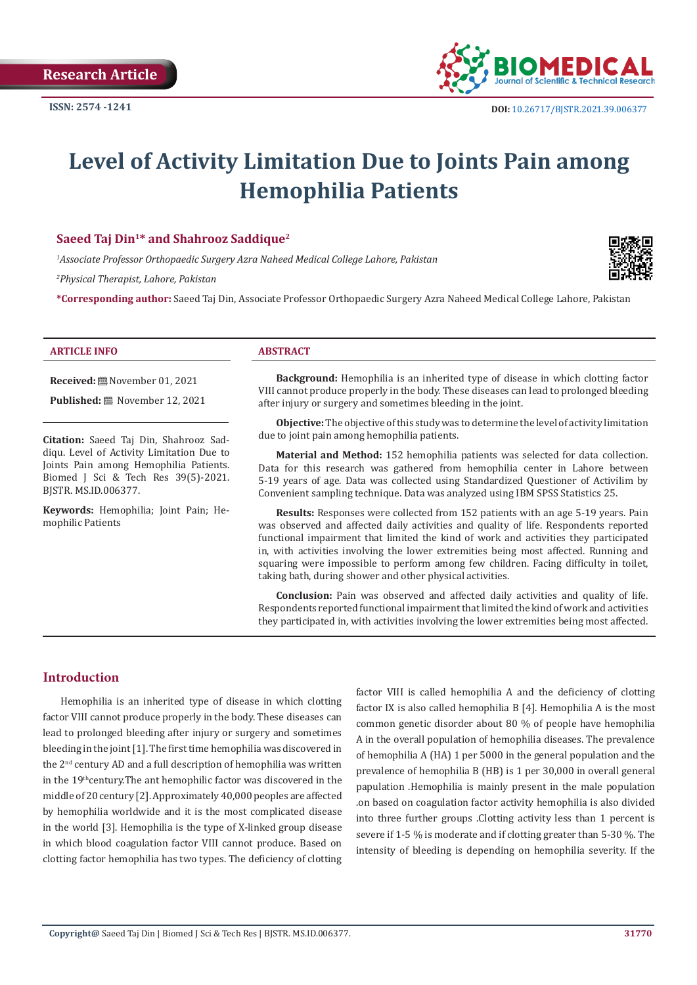

# **Level of Activity Limitation Due to Joints Pain among Hemophilia Patients**

# **Saeed Taj Din1\* and Shahrooz Saddique2**

*1 Associate Professor Orthopaedic Surgery Azra Naheed Medical College Lahore, Pakistan*

*2 Physical Therapist, Lahore, Pakistan*

**\*Corresponding author:** Saeed Taj Din, Associate Professor Orthopaedic Surgery Azra Naheed Medical College Lahore, Pakistan

#### **ARTICLE INFO ABSTRACT**

**Received:** November 01, 2021

Published: **■** November 12, 2021

**Citation:** Saeed Taj Din, Shahrooz Saddiqu. Level of Activity Limitation Due to Joints Pain among Hemophilia Patients. Biomed J Sci & Tech Res 39(5)-2021. BJSTR. MS.ID.006377.

**Keywords:** Hemophilia; Joint Pain; Hemophilic Patients

**Background:** Hemophilia is an inherited type of disease in which clotting factor VIII cannot produce properly in the body. These diseases can lead to prolonged bleeding after injury or surgery and sometimes bleeding in the joint.

**Objective:** The objective of this study was to determine the level of activity limitation due to joint pain among hemophilia patients.

**Material and Method:** 152 hemophilia patients was selected for data collection. Data for this research was gathered from hemophilia center in Lahore between 5-19 years of age. Data was collected using Standardized Questioner of Activilim by Convenient sampling technique. Data was analyzed using IBM SPSS Statistics 25.

**Results:** Responses were collected from 152 patients with an age 5-19 years. Pain was observed and affected daily activities and quality of life. Respondents reported functional impairment that limited the kind of work and activities they participated in, with activities involving the lower extremities being most affected. Running and squaring were impossible to perform among few children. Facing difficulty in toilet, taking bath, during shower and other physical activities.

**Conclusion:** Pain was observed and affected daily activities and quality of life. Respondents reported functional impairment that limited the kind of work and activities they participated in, with activities involving the lower extremities being most affected.

# **Introduction**

Hemophilia is an inherited type of disease in which clotting factor VIII cannot produce properly in the body. These diseases can lead to prolonged bleeding after injury or surgery and sometimes bleeding in the joint [1]. The first time hemophilia was discovered in the 2nd century AD and a full description of hemophilia was written in the 19<sup>th</sup>century.The ant hemophilic factor was discovered in the middle of 20 century [2]. Approximately 40,000 peoples are affected by hemophilia worldwide and it is the most complicated disease in the world [3]. Hemophilia is the type of X-linked group disease in which blood coagulation factor VIII cannot produce. Based on clotting factor hemophilia has two types. The deficiency of clotting factor VIII is called hemophilia A and the deficiency of clotting factor IX is also called hemophilia B [4]. Hemophilia A is the most common genetic disorder about 80 % of people have hemophilia A in the overall population of hemophilia diseases. The prevalence of hemophilia A (HA) 1 per 5000 in the general population and the prevalence of hemophilia B (HB) is 1 per 30,000 in overall general papulation .Hemophilia is mainly present in the male population .on based on coagulation factor activity hemophilia is also divided into three further groups .Clotting activity less than 1 percent is severe if 1-5 % is moderate and if clotting greater than 5-30 %. The intensity of bleeding is depending on hemophilia severity. If the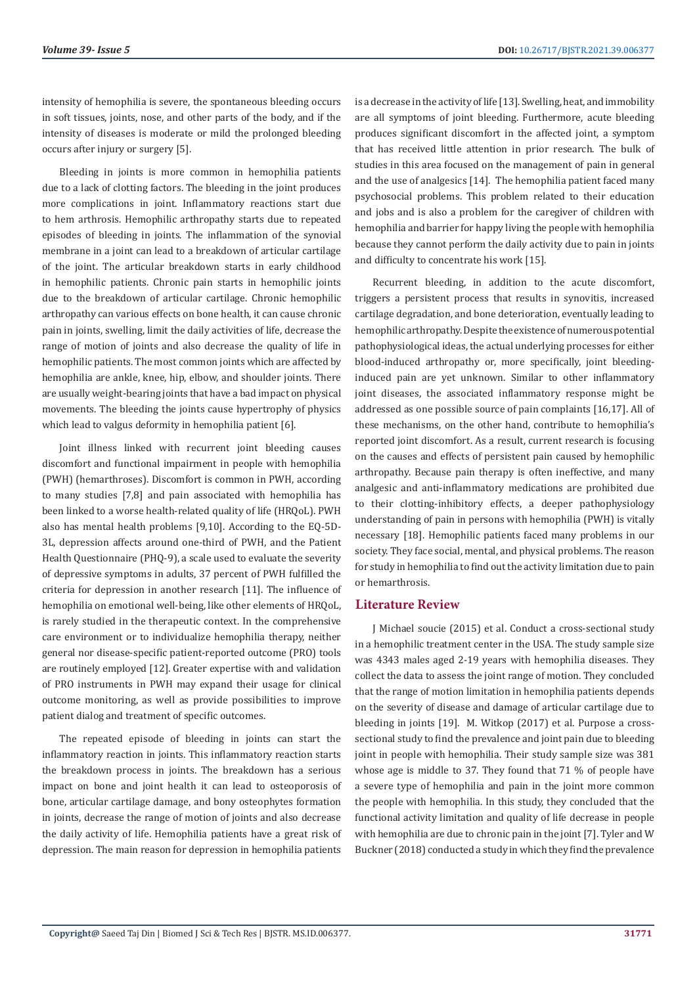intensity of hemophilia is severe, the spontaneous bleeding occurs in soft tissues, joints, nose, and other parts of the body, and if the intensity of diseases is moderate or mild the prolonged bleeding occurs after injury or surgery [5].

Bleeding in joints is more common in hemophilia patients due to a lack of clotting factors. The bleeding in the joint produces more complications in joint. Inflammatory reactions start due to hem arthrosis. Hemophilic arthropathy starts due to repeated episodes of bleeding in joints. The inflammation of the synovial membrane in a joint can lead to a breakdown of articular cartilage of the joint. The articular breakdown starts in early childhood in hemophilic patients. Chronic pain starts in hemophilic joints due to the breakdown of articular cartilage. Chronic hemophilic arthropathy can various effects on bone health, it can cause chronic pain in joints, swelling, limit the daily activities of life, decrease the range of motion of joints and also decrease the quality of life in hemophilic patients. The most common joints which are affected by hemophilia are ankle, knee, hip, elbow, and shoulder joints. There are usually weight-bearing joints that have a bad impact on physical movements. The bleeding the joints cause hypertrophy of physics which lead to valgus deformity in hemophilia patient [6].

Joint illness linked with recurrent joint bleeding causes discomfort and functional impairment in people with hemophilia (PWH) (hemarthroses). Discomfort is common in PWH, according to many studies [7,8] and pain associated with hemophilia has been linked to a worse health-related quality of life (HRQoL). PWH also has mental health problems [9,10]. According to the EQ-5D-3L, depression affects around one-third of PWH, and the Patient Health Questionnaire (PHQ-9), a scale used to evaluate the severity of depressive symptoms in adults, 37 percent of PWH fulfilled the criteria for depression in another research [11]. The influence of hemophilia on emotional well-being, like other elements of HRQoL, is rarely studied in the therapeutic context. In the comprehensive care environment or to individualize hemophilia therapy, neither general nor disease-specific patient-reported outcome (PRO) tools are routinely employed [12]. Greater expertise with and validation of PRO instruments in PWH may expand their usage for clinical outcome monitoring, as well as provide possibilities to improve patient dialog and treatment of specific outcomes.

The repeated episode of bleeding in joints can start the inflammatory reaction in joints. This inflammatory reaction starts the breakdown process in joints. The breakdown has a serious impact on bone and joint health it can lead to osteoporosis of bone, articular cartilage damage, and bony osteophytes formation in joints, decrease the range of motion of joints and also decrease the daily activity of life. Hemophilia patients have a great risk of depression. The main reason for depression in hemophilia patients

is a decrease in the activity of life [13]. Swelling, heat, and immobility are all symptoms of joint bleeding. Furthermore, acute bleeding produces significant discomfort in the affected joint, a symptom that has received little attention in prior research. The bulk of studies in this area focused on the management of pain in general and the use of analgesics [14]. The hemophilia patient faced many psychosocial problems. This problem related to their education and jobs and is also a problem for the caregiver of children with hemophilia and barrier for happy living the people with hemophilia because they cannot perform the daily activity due to pain in joints and difficulty to concentrate his work [15].

Recurrent bleeding, in addition to the acute discomfort, triggers a persistent process that results in synovitis, increased cartilage degradation, and bone deterioration, eventually leading to hemophilic arthropathy. Despite the existence of numerous potential pathophysiological ideas, the actual underlying processes for either blood-induced arthropathy or, more specifically, joint bleedinginduced pain are yet unknown. Similar to other inflammatory joint diseases, the associated inflammatory response might be addressed as one possible source of pain complaints [16,17]. All of these mechanisms, on the other hand, contribute to hemophilia's reported joint discomfort. As a result, current research is focusing on the causes and effects of persistent pain caused by hemophilic arthropathy. Because pain therapy is often ineffective, and many analgesic and anti-inflammatory medications are prohibited due to their clotting-inhibitory effects, a deeper pathophysiology understanding of pain in persons with hemophilia (PWH) is vitally necessary [18]. Hemophilic patients faced many problems in our society. They face social, mental, and physical problems. The reason for study in hemophilia to find out the activity limitation due to pain or hemarthrosis.

# **Literature Review**

J Michael soucie (2015) et al. Conduct a cross-sectional study in a hemophilic treatment center in the USA. The study sample size was 4343 males aged 2-19 years with hemophilia diseases. They collect the data to assess the joint range of motion. They concluded that the range of motion limitation in hemophilia patients depends on the severity of disease and damage of articular cartilage due to bleeding in joints [19]. M. Witkop (2017) et al. Purpose a crosssectional study to find the prevalence and joint pain due to bleeding joint in people with hemophilia. Their study sample size was 381 whose age is middle to 37. They found that 71 % of people have a severe type of hemophilia and pain in the joint more common the people with hemophilia. In this study, they concluded that the functional activity limitation and quality of life decrease in people with hemophilia are due to chronic pain in the joint [7]. Tyler and W Buckner (2018) conducted a study in which they find the prevalence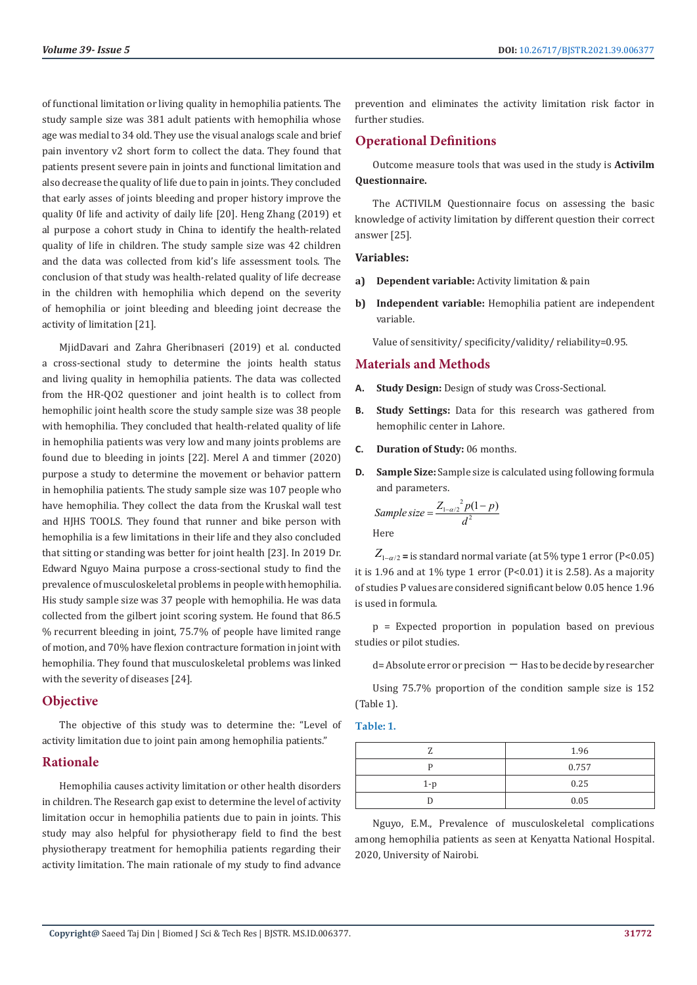of functional limitation or living quality in hemophilia patients. The study sample size was 381 adult patients with hemophilia whose age was medial to 34 old. They use the visual analogs scale and brief pain inventory v2 short form to collect the data. They found that patients present severe pain in joints and functional limitation and also decrease the quality of life due to pain in joints. They concluded that early asses of joints bleeding and proper history improve the quality 0f life and activity of daily life [20]. Heng Zhang (2019) et al purpose a cohort study in China to identify the health-related quality of life in children. The study sample size was 42 children and the data was collected from kid's life assessment tools. The conclusion of that study was health-related quality of life decrease in the children with hemophilia which depend on the severity of hemophilia or joint bleeding and bleeding joint decrease the activity of limitation [21].

MjidDavari and Zahra Gheribnaseri (2019) et al. conducted a cross-sectional study to determine the joints health status and living quality in hemophilia patients. The data was collected from the HR-QO2 questioner and joint health is to collect from hemophilic joint health score the study sample size was 38 people with hemophilia. They concluded that health-related quality of life in hemophilia patients was very low and many joints problems are found due to bleeding in joints [22]. Merel A and timmer (2020) purpose a study to determine the movement or behavior pattern in hemophilia patients. The study sample size was 107 people who have hemophilia. They collect the data from the Kruskal wall test and HJHS TOOLS. They found that runner and bike person with hemophilia is a few limitations in their life and they also concluded that sitting or standing was better for joint health [23]. In 2019 Dr. Edward Nguyo Maina purpose a cross-sectional study to find the prevalence of musculoskeletal problems in people with hemophilia. His study sample size was 37 people with hemophilia. He was data collected from the gilbert joint scoring system. He found that 86.5 % recurrent bleeding in joint, 75.7% of people have limited range of motion, and 70% have flexion contracture formation in joint with hemophilia. They found that musculoskeletal problems was linked with the severity of diseases [24].

# **Objective**

The objective of this study was to determine the: "Level of activity limitation due to joint pain among hemophilia patients."

# **Rationale**

Hemophilia causes activity limitation or other health disorders in children. The Research gap exist to determine the level of activity limitation occur in hemophilia patients due to pain in joints. This study may also helpful for physiotherapy field to find the best physiotherapy treatment for hemophilia patients regarding their activity limitation. The main rationale of my study to find advance

prevention and eliminates the activity limitation risk factor in further studies.

# **Operational Definitions**

Outcome measure tools that was used in the study is **Activilm Questionnaire.**

The ACTIVILM Questionnaire focus on assessing the basic knowledge of activity limitation by different question their correct answer [25].

#### **Variables:**

- **a) Dependent variable:** Activity limitation & pain
- **b) Independent variable:** Hemophilia patient are independent variable.

Value of sensitivity/ specificity/validity/ reliability=0.95.

# **Materials and Methods**

- **A. Study Design:** Design of study was Cross-Sectional.
- **B. Study Settings:** Data for this research was gathered from hemophilic center in Lahore.
- **C. Duration of Study:** 06 months.
- **D. Sample Size:** Sample size is calculated using following formula and parameters.

Sample size = 
$$
\frac{Z_{1-\alpha/2}^2 p(1-p)}{d^2}
$$

 $Z_{1-\alpha/2}$  = is standard normal variate (at 5% type 1 error (P<0.05) it is 1.96 and at 1% type 1 error (P<0.01) it is 2.58). As a majority of studies P values are considered significant below 0.05 hence 1.96 is used in formula.

p = Expected proportion in population based on previous studies or pilot studies.

```
d= Absolute error or precision − Has to be decide by researcher
```
Using 75.7% proportion of the condition sample size is 152 (Table 1).

#### **Table: 1.**

|     | 1.96  |
|-----|-------|
|     | 0.757 |
| 1-p | 0.25  |
|     | 0.05  |

Nguyo, E.M., Prevalence of musculoskeletal complications among hemophilia patients as seen at Kenyatta National Hospital. 2020, University of Nairobi.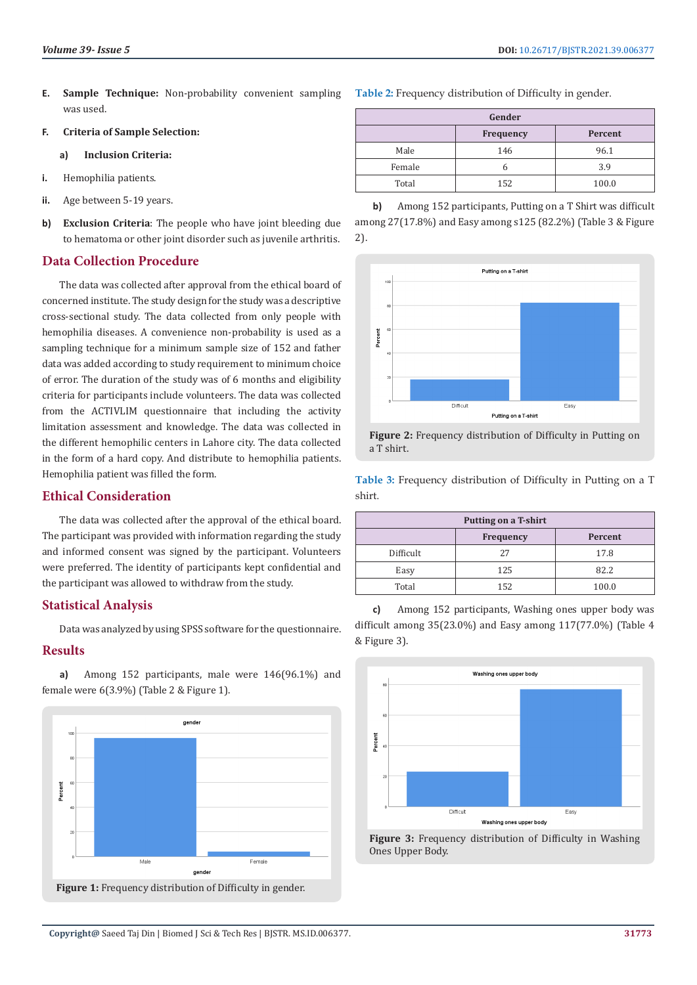**E. Sample Technique:** Non-probability convenient sampling was used.

#### **F. Criteria of Sample Selection:**

#### **a) Inclusion Criteria:**

- **i.** Hemophilia patients.
- **ii.** Age between 5-19 years.
- **b) Exclusion Criteria**: The people who have joint bleeding due to hematoma or other joint disorder such as juvenile arthritis.

# **Data Collection Procedure**

The data was collected after approval from the ethical board of concerned institute. The study design for the study was a descriptive cross-sectional study. The data collected from only people with hemophilia diseases. A convenience non-probability is used as a sampling technique for a minimum sample size of 152 and father data was added according to study requirement to minimum choice of error. The duration of the study was of 6 months and eligibility criteria for participants include volunteers. The data was collected from the ACTIVLIM questionnaire that including the activity limitation assessment and knowledge. The data was collected in the different hemophilic centers in Lahore city. The data collected in the form of a hard copy. And distribute to hemophilia patients. Hemophilia patient was filled the form.

# **Ethical Consideration**

The data was collected after the approval of the ethical board. The participant was provided with information regarding the study and informed consent was signed by the participant. Volunteers were preferred. The identity of participants kept confidential and the participant was allowed to withdraw from the study.

# **Statistical Analysis**

Data was analyzed by using SPSS software for the questionnaire.

# **Results**

**a)** Among 152 participants, male were 146(96.1%) and female were 6(3.9%) (Table 2 & Figure 1).



**Table 2:** Frequency distribution of Difficulty in gender.

| Gender |                  |         |
|--------|------------------|---------|
|        | <b>Frequency</b> | Percent |
| Male   | 146              | 96.1    |
| Female | n                | 3.9     |
| Total  | 152              | 100.0   |

**b)** Among 152 participants, Putting on a T Shirt was difficult among 27(17.8%) and Easy among s125 (82.2%) (Table 3 & Figure 2).





**Table 3:** Frequency distribution of Difficulty in Putting on a T shirt.

| <b>Putting on a T-shirt</b> |                  |         |
|-----------------------------|------------------|---------|
|                             | <b>Frequency</b> | Percent |
| Difficult                   | 27               | 17.8    |
| Easy                        | 125              | 82.2    |
| Total                       | 152              | 100.0   |

**c)** Among 152 participants, Washing ones upper body was difficult among 35(23.0%) and Easy among 117(77.0%) (Table 4 & Figure 3).



**Figure 3:** Frequency distribution of Difficulty in Washing Ones Upper Body.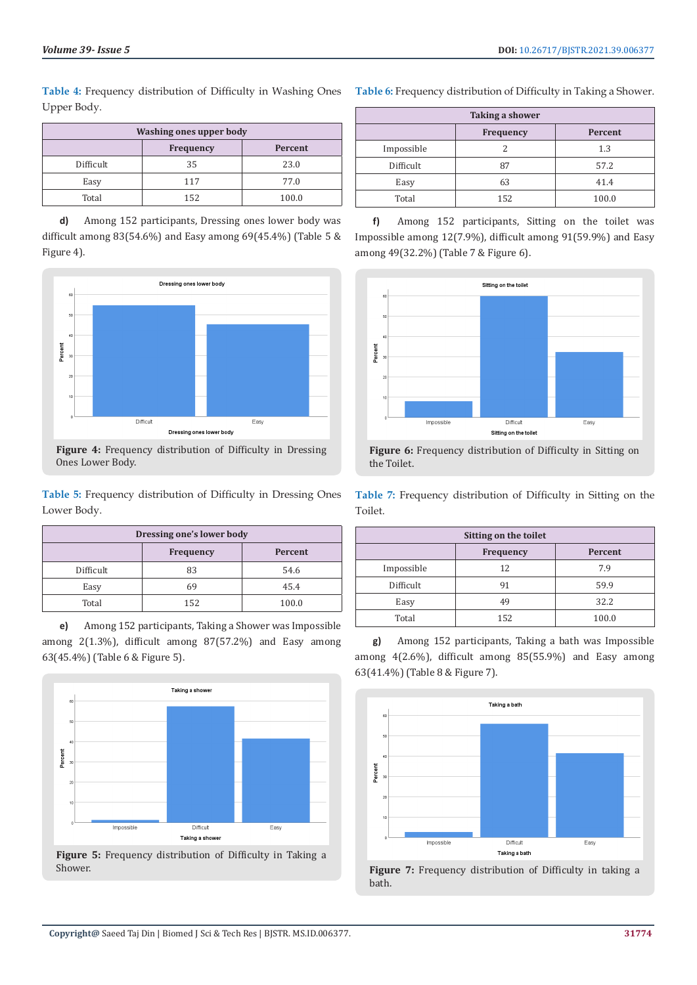**Table 4:** Frequency distribution of Difficulty in Washing Ones Upper Body.

| Washing ones upper body |                  |         |
|-------------------------|------------------|---------|
|                         | <b>Frequency</b> | Percent |
| Difficult               | 35               | 23.0    |
| Easy                    | 117              | 77.0    |
| Total                   | 152              | 100.0   |

**d)** Among 152 participants, Dressing ones lower body was difficult among 83(54.6%) and Easy among 69(45.4%) (Table 5 & Figure 4).



**Figure 4:** Frequency distribution of Difficulty in Dressing Ones Lower Body.

**Table 5:** Frequency distribution of Difficulty in Dressing Ones Lower Body.

| Dressing one's lower body   |     |       |
|-----------------------------|-----|-------|
| Percent<br><b>Frequency</b> |     |       |
| Difficult                   | 83  | 54.6  |
| Easy                        | 69  | 45.4  |
| Total                       | 152 | 100.0 |

**e)** Among 152 participants, Taking a Shower was Impossible among 2(1.3%), difficult among 87(57.2%) and Easy among 63(45.4%) (Table 6 & Figure 5).



**Figure 5:** Frequency distribution of Difficulty in Taking a Shower.

**Table 6:** Frequency distribution of Difficulty in Taking a Shower.

| <b>Taking a shower</b> |           |         |
|------------------------|-----------|---------|
|                        | Frequency | Percent |
| Impossible             |           | 1.3     |
| Difficult              | 87        | 57.2    |
| Easy                   | 63        | 41.4    |
| Total                  | 152       | 100.0   |

**f)** Among 152 participants, Sitting on the toilet was Impossible among 12(7.9%), difficult among 91(59.9%) and Easy among 49(32.2%) (Table 7 & Figure 6).





**Table 7:** Frequency distribution of Difficulty in Sitting on the Toilet.

| Sitting on the toilet |                  |         |
|-----------------------|------------------|---------|
|                       | <b>Frequency</b> | Percent |
| Impossible            | 12               | 7.9     |
| Difficult             | 91               | 59.9    |
| Easy                  | 49               | 32.2    |
| Total                 | 152              | 100.0   |

**g)** Among 152 participants, Taking a bath was Impossible among 4(2.6%), difficult among 85(55.9%) and Easy among 63(41.4%) (Table 8 & Figure 7).



**Figure 7:** Frequency distribution of Difficulty in taking a bath.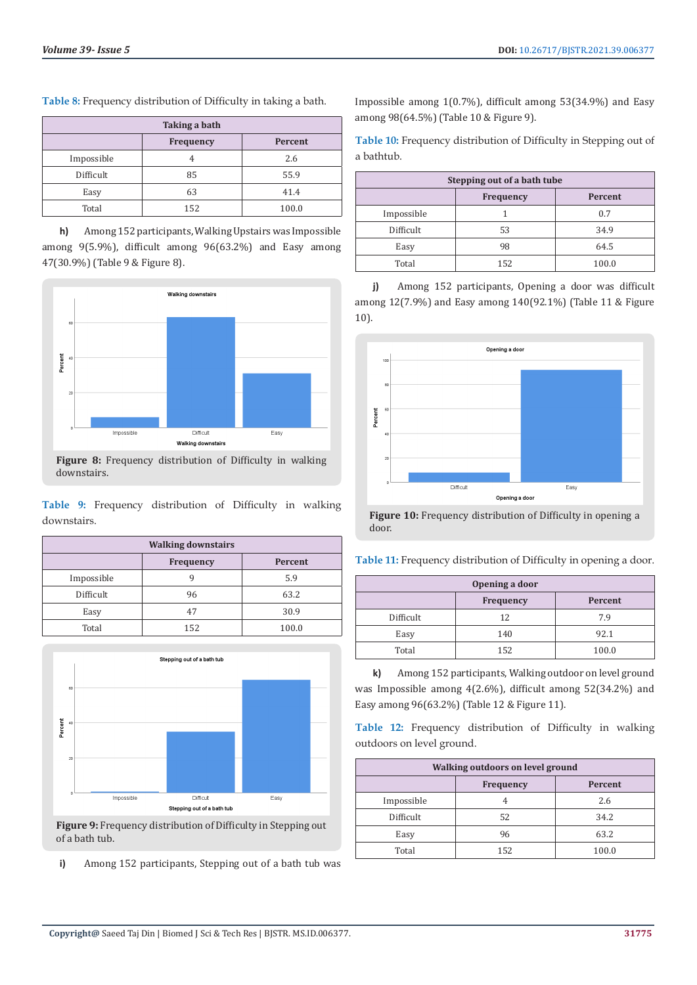| Taking a bath |           |         |
|---------------|-----------|---------|
|               | Frequency | Percent |
| Impossible    |           | 2.6     |
| Difficult     | 85        | 55.9    |
| Easy          | 63        | 41.4    |
| Total         | 152       | 100.0   |

**Table 8:** Frequency distribution of Difficulty in taking a bath.

**h)** Among 152 participants, Walking Upstairs was Impossible among 9(5.9%), difficult among 96(63.2%) and Easy among 47(30.9%) (Table 9 & Figure 8).



**Figure 8:** Frequency distribution of Difficulty in walking downstairs.

**Table 9:** Frequency distribution of Difficulty in walking downstairs.

| <b>Walking downstairs</b> |                  |         |
|---------------------------|------------------|---------|
|                           | <b>Frequency</b> | Percent |
| Impossible                |                  | 5.9     |
| Difficult                 | 96               | 63.2    |
| Easy                      | 47               | 30.9    |
| Total                     | 152              | 100.0   |



**Figure 9:** Frequency distribution of Difficulty in Stepping out of a bath tub.

**i)** Among 152 participants, Stepping out of a bath tub was

Impossible among 1(0.7%), difficult among 53(34.9%) and Easy among 98(64.5%) (Table 10 & Figure 9).

**Table 10:** Frequency distribution of Difficulty in Stepping out of a bathtub.

| Stepping out of a bath tube |           |         |
|-----------------------------|-----------|---------|
|                             | Frequency | Percent |
| Impossible                  |           | 0.7     |
| Difficult                   | 53        | 34.9    |
| Easy                        | 98        | 64.5    |
| Total                       | 152       | 100.0   |

**j)** Among 152 participants, Opening a door was difficult among 12(7.9%) and Easy among 140(92.1%) (Table 11 & Figure 10).



**Figure 10:** Frequency distribution of Difficulty in opening a door.

**Table 11:** Frequency distribution of Difficulty in opening a door.

| Opening a door |                  |         |
|----------------|------------------|---------|
|                | <b>Frequency</b> | Percent |
| Difficult      | 12               | 7.9     |
| Easy           | 140              | 92.1    |
| Total          | 152              | 100.0   |

**k)** Among 152 participants, Walking outdoor on level ground was Impossible among 4(2.6%), difficult among 52(34.2%) and Easy among 96(63.2%) (Table 12 & Figure 11).

**Table 12:** Frequency distribution of Difficulty in walking outdoors on level ground.

| Walking outdoors on level ground |     |       |
|----------------------------------|-----|-------|
| <b>Frequency</b><br>Percent      |     |       |
| Impossible                       |     | 2.6   |
| Difficult                        | 52  | 34.2  |
| Easy                             | 96  | 63.2  |
| Total                            | 152 | 100.0 |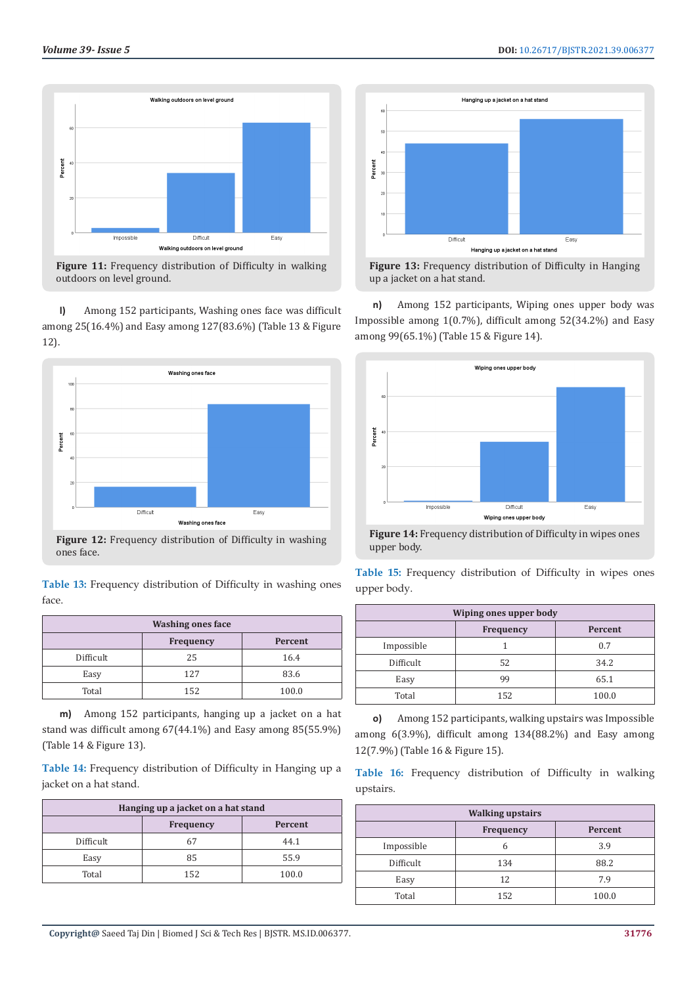



**Figure 11:** Frequency distribution of Difficulty in walking outdoors on level ground.

**l)** Among 152 participants, Washing ones face was difficult among 25(16.4%) and Easy among 127(83.6%) (Table 13 & Figure 12).



**Figure 12:** Frequency distribution of Difficulty in washing ones face.

**Table 13:** Frequency distribution of Difficulty in washing ones face.

| <b>Washing ones face</b>    |     |       |  |
|-----------------------------|-----|-------|--|
| <b>Frequency</b><br>Percent |     |       |  |
| Difficult                   | 25  | 16.4  |  |
| Easy                        | 127 | 83.6  |  |
| Total                       | 152 | 100.0 |  |

**m)** Among 152 participants, hanging up a jacket on a hat stand was difficult among 67(44.1%) and Easy among 85(55.9%) (Table 14 & Figure 13).

**Table 14:** Frequency distribution of Difficulty in Hanging up a jacket on a hat stand.

| Hanging up a jacket on a hat stand |     |       |  |
|------------------------------------|-----|-------|--|
| Percent<br>Frequency               |     |       |  |
| Difficult                          | 67  | 44.1  |  |
| Easy                               | 85  | 55.9  |  |
| Total                              | 152 | 100.0 |  |





**n)** Among 152 participants, Wiping ones upper body was Impossible among 1(0.7%), difficult among 52(34.2%) and Easy among 99(65.1%) (Table 15 & Figure 14).



**Figure 14:** Frequency distribution of Difficulty in wipes ones upper body.

|             |  | Table 15: Frequency distribution of Difficulty in wipes ones |  |  |  |
|-------------|--|--------------------------------------------------------------|--|--|--|
| upper body. |  |                                                              |  |  |  |

| Wiping ones upper body |                             |       |  |
|------------------------|-----------------------------|-------|--|
|                        | <b>Frequency</b><br>Percent |       |  |
| Impossible             |                             | 0.7   |  |
| Difficult              | 52                          | 34.2  |  |
| Easy                   | 99                          | 65.1  |  |
| Total                  | 152                         | 100.0 |  |

**o)** Among 152 participants, walking upstairs was Impossible among 6(3.9%), difficult among 134(88.2%) and Easy among 12(7.9%) (Table 16 & Figure 15).

**Table 16:** Frequency distribution of Difficulty in walking upstairs.

| <b>Walking upstairs</b> |                  |         |  |
|-------------------------|------------------|---------|--|
|                         | <b>Frequency</b> | Percent |  |
| Impossible              |                  | 3.9     |  |
| Difficult               | 134              | 88.2    |  |
| Easy                    | 12               | 7.9     |  |
| Total                   | 152              | 100.0   |  |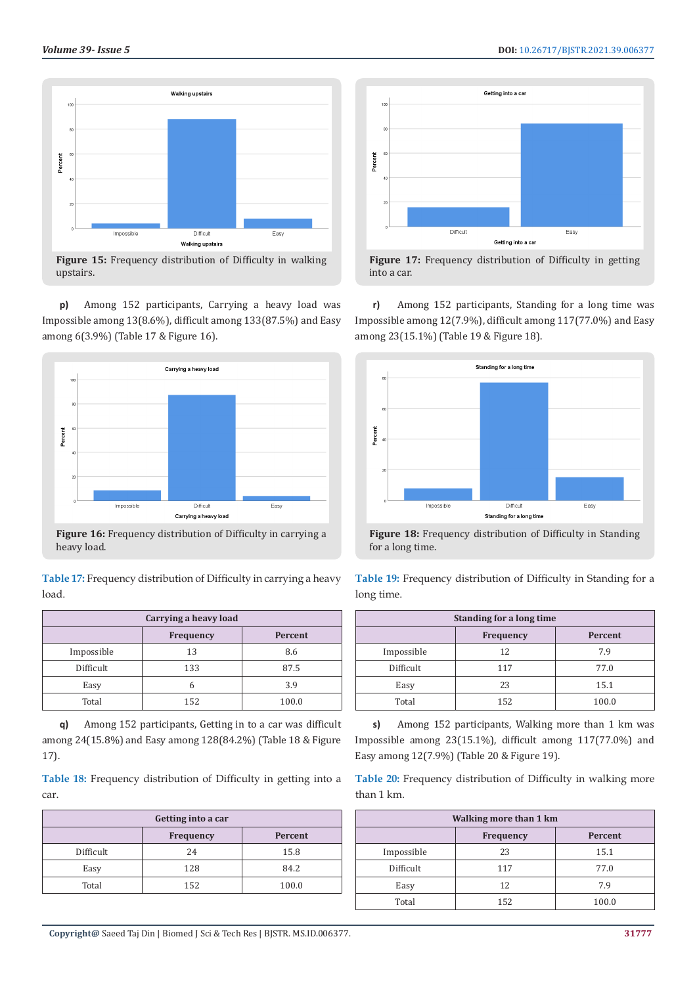

**Figure 15:** Frequency distribution of Difficulty in walking upstairs.

**p)** Among 152 participants, Carrying a heavy load was Impossible among 13(8.6%), difficult among 133(87.5%) and Easy among 6(3.9%) (Table 17 & Figure 16).



**Figure 16:** Frequency distribution of Difficulty in carrying a heavy load.

**Table 17:** Frequency distribution of Difficulty in carrying a heavy load.

| Carrying a heavy load |                             |       |  |
|-----------------------|-----------------------------|-------|--|
|                       | <b>Frequency</b><br>Percent |       |  |
| Impossible            | 13                          | 8.6   |  |
| Difficult             | 133                         | 87.5  |  |
| Easy                  |                             | 3.9   |  |
| Total                 | 152                         | 100.0 |  |

**q)** Among 152 participants, Getting in to a car was difficult among 24(15.8%) and Easy among 128(84.2%) (Table 18 & Figure 17).

**Table 18:** Frequency distribution of Difficulty in getting into a car.

| Getting into a car          |     |       |  |
|-----------------------------|-----|-------|--|
| Percent<br><b>Frequency</b> |     |       |  |
| Difficult                   | 24  | 15.8  |  |
| Easy                        | 128 | 84.2  |  |
| Total                       | 152 | 100.0 |  |





**r)** Among 152 participants, Standing for a long time was Impossible among 12(7.9%), difficult among 117(77.0%) and Easy among 23(15.1%) (Table 19 & Figure 18).



**Figure 18:** Frequency distribution of Difficulty in Standing for a long time.

**Table 19:** Frequency distribution of Difficulty in Standing for a long time.

| Standing for a long time |           |         |  |
|--------------------------|-----------|---------|--|
|                          | Frequency | Percent |  |
| Impossible               | 12        | 7.9     |  |
| Difficult                | 117       | 77.0    |  |
| Easy                     | 23        | 15.1    |  |
| Total                    | 152       | 100.0   |  |

**s)** Among 152 participants, Walking more than 1 km was Impossible among 23(15.1%), difficult among 117(77.0%) and Easy among 12(7.9%) (Table 20 & Figure 19).

**Table 20:** Frequency distribution of Difficulty in walking more than 1 km.

| <b>Walking more than 1 km</b> |     |       |  |
|-------------------------------|-----|-------|--|
| Frequency<br>Percent          |     |       |  |
| Impossible                    | 23  | 15.1  |  |
| Difficult                     | 117 | 77.0  |  |
| Easy                          | 12  | 7.9   |  |
| Total                         | 152 | 100.0 |  |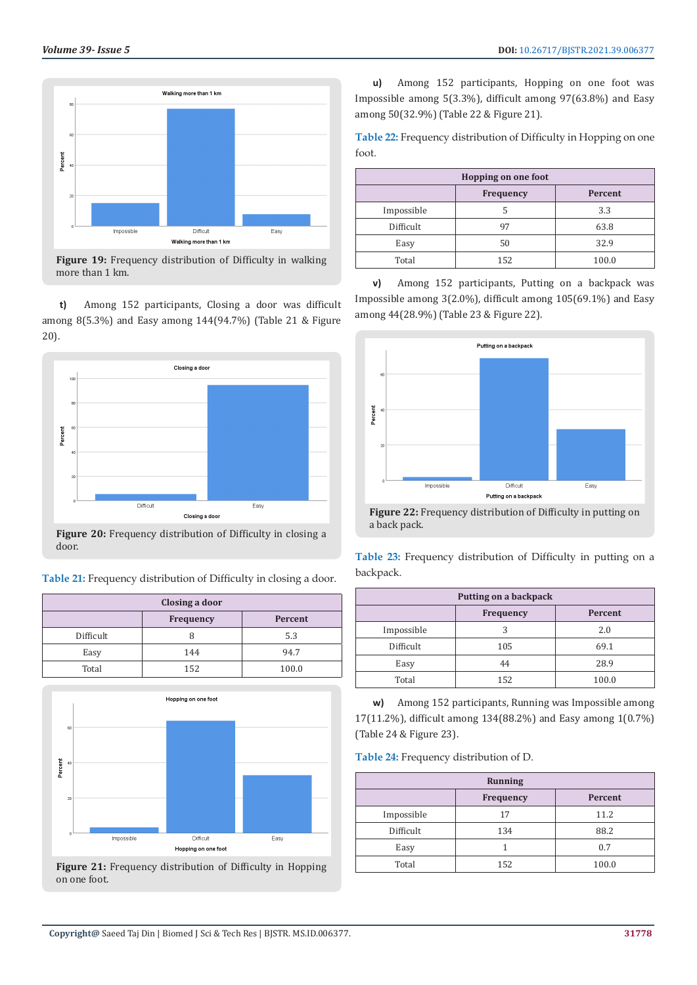

**Figure 19:** Frequency distribution of Difficulty in walking more than 1 km.

**t)** Among 152 participants, Closing a door was difficult among 8(5.3%) and Easy among 144(94.7%) (Table 21 & Figure 20).



door.

**Table 21:** Frequency distribution of Difficulty in closing a door.

| Closing a door |                  |         |
|----------------|------------------|---------|
|                | <b>Frequency</b> | Percent |
| Difficult      |                  | 5.3     |
| Easy           | 144              | 94.7    |
| Total          | 152              | 100.0   |



**Figure 21:** Frequency distribution of Difficulty in Hopping on one foot.

**u)** Among 152 participants, Hopping on one foot was Impossible among 5(3.3%), difficult among 97(63.8%) and Easy among 50(32.9%) (Table 22 & Figure 21).

**Table 22:** Frequency distribution of Difficulty in Hopping on one foot.

| <b>Hopping on one foot</b> |           |         |  |
|----------------------------|-----------|---------|--|
|                            | Frequency | Percent |  |
| Impossible                 |           | 3.3     |  |
| Difficult                  | 97        | 63.8    |  |
| Easy                       | 50        | 32.9    |  |
| Total                      | 152       | 100.0   |  |

**v)** Among 152 participants, Putting on a backpack was Impossible among 3(2.0%), difficult among 105(69.1%) and Easy among 44(28.9%) (Table 23 & Figure 22).



**Figure 22:** Frequency distribution of Difficulty in putting on a back pack.

**Table 23:** Frequency distribution of Difficulty in putting on a backpack.

| Putting on a backpack |     |       |  |
|-----------------------|-----|-------|--|
| Frequency<br>Percent  |     |       |  |
| Impossible            |     | 2.0   |  |
| Difficult             | 105 | 69.1  |  |
| Easy                  | 44  | 28.9  |  |
| Total                 | 152 | 100.0 |  |

**w)** Among 152 participants, Running was Impossible among 17(11.2%), difficult among 134(88.2%) and Easy among 1(0.7%) (Table 24 & Figure 23).

**Table 24:** Frequency distribution of D.

| <b>Running</b> |           |         |
|----------------|-----------|---------|
|                | Frequency | Percent |
| Impossible     | 17        | 11.2    |
| Difficult      | 134       | 88.2    |
| Easy           |           | 0.7     |
| Total          | 152       | 100.0   |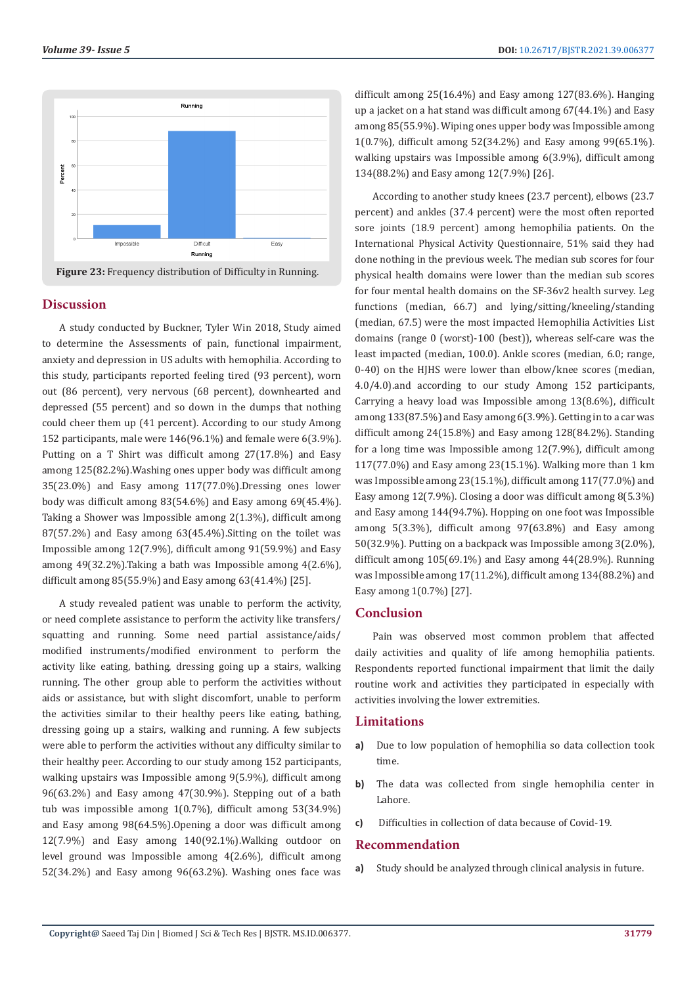

#### **Discussion**

A study conducted by Buckner, Tyler Win 2018, Study aimed to determine the Assessments of pain, functional impairment, anxiety and depression in US adults with hemophilia. According to this study, participants reported feeling tired (93 percent), worn out (86 percent), very nervous (68 percent), downhearted and depressed (55 percent) and so down in the dumps that nothing could cheer them up (41 percent). According to our study Among 152 participants, male were 146(96.1%) and female were 6(3.9%). Putting on a T Shirt was difficult among 27(17.8%) and Easy among 125(82.2%).Washing ones upper body was difficult among 35(23.0%) and Easy among 117(77.0%).Dressing ones lower body was difficult among 83(54.6%) and Easy among 69(45.4%). Taking a Shower was Impossible among 2(1.3%), difficult among 87(57.2%) and Easy among 63(45.4%).Sitting on the toilet was Impossible among 12(7.9%), difficult among 91(59.9%) and Easy among 49(32.2%).Taking a bath was Impossible among 4(2.6%), difficult among 85(55.9%) and Easy among 63(41.4%) [25].

A study revealed patient was unable to perform the activity, or need complete assistance to perform the activity like transfers/ squatting and running. Some need partial assistance/aids/ modified instruments/modified environment to perform the activity like eating, bathing, dressing going up a stairs, walking running. The other group able to perform the activities without aids or assistance, but with slight discomfort, unable to perform the activities similar to their healthy peers like eating, bathing, dressing going up a stairs, walking and running. A few subjects were able to perform the activities without any difficulty similar to their healthy peer. According to our study among 152 participants, walking upstairs was Impossible among 9(5.9%), difficult among 96(63.2%) and Easy among 47(30.9%). Stepping out of a bath tub was impossible among 1(0.7%), difficult among 53(34.9%) and Easy among 98(64.5%).Opening a door was difficult among 12(7.9%) and Easy among 140(92.1%).Walking outdoor on level ground was Impossible among 4(2.6%), difficult among 52(34.2%) and Easy among 96(63.2%). Washing ones face was difficult among 25(16.4%) and Easy among 127(83.6%). Hanging up a jacket on a hat stand was difficult among 67(44.1%) and Easy among 85(55.9%). Wiping ones upper body was Impossible among 1(0.7%), difficult among 52(34.2%) and Easy among 99(65.1%). walking upstairs was Impossible among 6(3.9%), difficult among 134(88.2%) and Easy among 12(7.9%) [26].

According to another study knees (23.7 percent), elbows (23.7 percent) and ankles (37.4 percent) were the most often reported sore joints (18.9 percent) among hemophilia patients. On the International Physical Activity Questionnaire, 51% said they had done nothing in the previous week. The median sub scores for four physical health domains were lower than the median sub scores for four mental health domains on the SF-36v2 health survey. Leg functions (median, 66.7) and lying/sitting/kneeling/standing (median, 67.5) were the most impacted Hemophilia Activities List domains (range 0 (worst)-100 (best)), whereas self-care was the least impacted (median, 100.0). Ankle scores (median, 6.0; range, 0-40) on the HJHS were lower than elbow/knee scores (median, 4.0/4.0).and according to our study Among 152 participants, Carrying a heavy load was Impossible among 13(8.6%), difficult among 133(87.5%) and Easy among 6(3.9%). Getting in to a car was difficult among 24(15.8%) and Easy among 128(84.2%). Standing for a long time was Impossible among 12(7.9%), difficult among 117(77.0%) and Easy among 23(15.1%). Walking more than 1 km was Impossible among 23(15.1%), difficult among 117(77.0%) and Easy among 12(7.9%). Closing a door was difficult among 8(5.3%) and Easy among 144(94.7%). Hopping on one foot was Impossible among 5(3.3%), difficult among 97(63.8%) and Easy among 50(32.9%). Putting on a backpack was Impossible among 3(2.0%), difficult among 105(69.1%) and Easy among 44(28.9%). Running was Impossible among 17(11.2%), difficult among 134(88.2%) and Easy among 1(0.7%) [27].

#### **Conclusion**

Pain was observed most common problem that affected daily activities and quality of life among hemophilia patients. Respondents reported functional impairment that limit the daily routine work and activities they participated in especially with activities involving the lower extremities.

# **Limitations**

- **a)** Due to low population of hemophilia so data collection took time.
- **b)** The data was collected from single hemophilia center in Lahore.
- **c)** Difficulties in collection of data because of Covid-19.

#### **Recommendation**

**a)** Study should be analyzed through clinical analysis in future.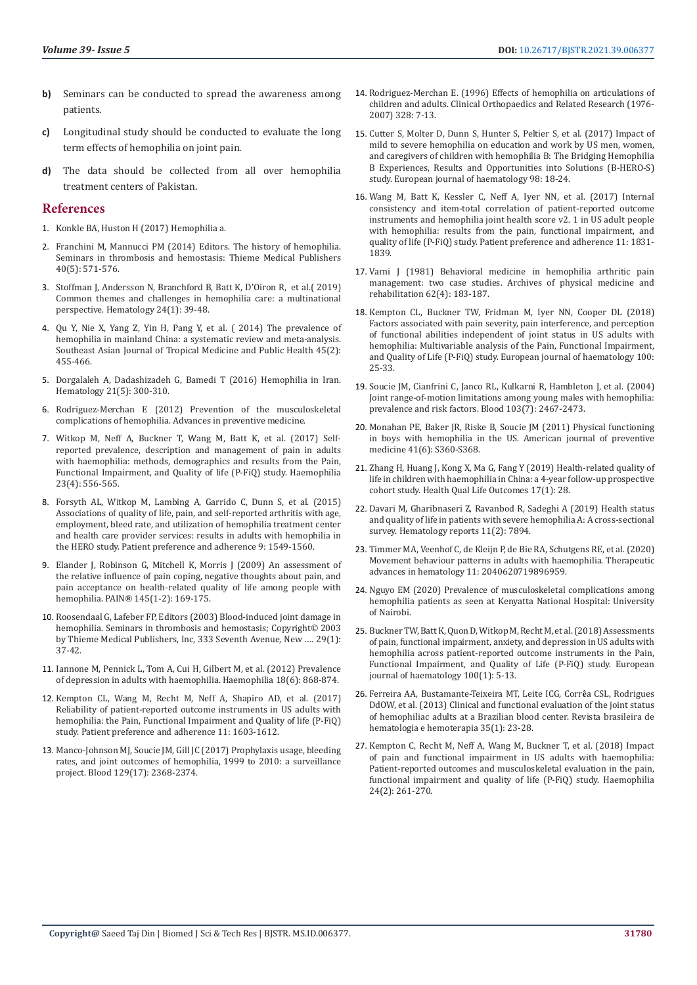- **b)** Seminars can be conducted to spread the awareness among patients.
- **c)** Longitudinal study should be conducted to evaluate the long term effects of hemophilia on joint pain.
- **d)** The data should be collected from all over hemophilia treatment centers of Pakistan.

# **References**

- 1. [Konkle BA, Huston H \(2017\) Hemophilia a.](https://www.ncbi.nlm.nih.gov/books/NBK1404/)
- 2. [Franchini M, Mannucci PM \(2014\) Editors. The history of hemophilia.](https://www.thieme-connect.com/products/ejournals/abstract/10.1055/s-0034-1381232)  [Seminars in thrombosis and hemostasis: Thieme Medical Publishers](https://www.thieme-connect.com/products/ejournals/abstract/10.1055/s-0034-1381232) [40\(5\): 571-576.](https://www.thieme-connect.com/products/ejournals/abstract/10.1055/s-0034-1381232)
- 3. [Stoffman J, Andersson N, Branchford B, Batt K, D'Oiron R, et al.\( 2019\)](https://pubmed.ncbi.nlm.nih.gov/30073913/)  [Common themes and challenges in hemophilia care: a multinational](https://pubmed.ncbi.nlm.nih.gov/30073913/)  [perspective. Hematology 24\(1\): 39-48.](https://pubmed.ncbi.nlm.nih.gov/30073913/)
- 4. [Qu Y, Nie X, Yang Z, Yin H, Pang Y, et al. \( 2014\) The prevalence of](https://pubmed.ncbi.nlm.nih.gov/24968688/)  [hemophilia in mainland China: a systematic review and meta-analysis.](https://pubmed.ncbi.nlm.nih.gov/24968688/)  [Southeast Asian Journal of Tropical Medicine and Public Health 45\(2\):](https://pubmed.ncbi.nlm.nih.gov/24968688/)  [455-466.](https://pubmed.ncbi.nlm.nih.gov/24968688/)
- 5. [Dorgalaleh A, Dadashizadeh G, Bamedi T \(2016\) Hemophilia in Iran.](https://pubmed.ncbi.nlm.nih.gov/26914731/)  [Hematology 21\(5\): 300-310.](https://pubmed.ncbi.nlm.nih.gov/26914731/)
- 6. [Rodriguez-Merchan E \(2012\) Prevention of the musculoskeletal](https://www.ncbi.nlm.nih.gov/pmc/articles/PMC3384927/)  [complications of hemophilia. Advances in preventive medicine.](https://www.ncbi.nlm.nih.gov/pmc/articles/PMC3384927/)
- 7. [Witkop M, Neff A, Buckner T, Wang M, Batt K, et al. \(2017\) Self‐](https://www.researchgate.net/publication/316169722_Self-reported_prevalence_description_and_management_of_pain_in_adults_with_haemophilia_Methods_demographics_and_results_from_the_Pain_Functional_Impairment_and_Quality_of_life_P-FiQ_study) [reported prevalence, description and management of pain in adults](https://www.researchgate.net/publication/316169722_Self-reported_prevalence_description_and_management_of_pain_in_adults_with_haemophilia_Methods_demographics_and_results_from_the_Pain_Functional_Impairment_and_Quality_of_life_P-FiQ_study)  [with haemophilia: methods, demographics and results from the Pain,](https://www.researchgate.net/publication/316169722_Self-reported_prevalence_description_and_management_of_pain_in_adults_with_haemophilia_Methods_demographics_and_results_from_the_Pain_Functional_Impairment_and_Quality_of_life_P-FiQ_study)  [Functional Impairment, and Quality of life \(P-FiQ\) study. Haemophilia](https://www.researchgate.net/publication/316169722_Self-reported_prevalence_description_and_management_of_pain_in_adults_with_haemophilia_Methods_demographics_and_results_from_the_Pain_Functional_Impairment_and_Quality_of_life_P-FiQ_study)  [23\(4\): 556-565.](https://www.researchgate.net/publication/316169722_Self-reported_prevalence_description_and_management_of_pain_in_adults_with_haemophilia_Methods_demographics_and_results_from_the_Pain_Functional_Impairment_and_Quality_of_life_P-FiQ_study)
- 8. [Forsyth AL, Witkop M, Lambing A, Garrido C, Dunn S, et al. \(2015\)](https://pubmed.ncbi.nlm.nih.gov/26604708/)  [Associations of quality of life, pain, and self-reported arthritis with age,](https://pubmed.ncbi.nlm.nih.gov/26604708/)  [employment, bleed rate, and utilization of hemophilia treatment center](https://pubmed.ncbi.nlm.nih.gov/26604708/)  [and health care provider services: results in adults with hemophilia in](https://pubmed.ncbi.nlm.nih.gov/26604708/)  [the HERO study. Patient preference and adherence 9: 1549-1560.](https://pubmed.ncbi.nlm.nih.gov/26604708/)
- 9. [Elander J, Robinson G, Mitchell K, Morris J \(2009\) An assessment of](https://pubmed.ncbi.nlm.nih.gov/19573989/)  [the relative influence of pain coping, negative thoughts about pain, and](https://pubmed.ncbi.nlm.nih.gov/19573989/)  [pain acceptance on health-related quality of life among people with](https://pubmed.ncbi.nlm.nih.gov/19573989/)  hemophilia. PAIN**®** [145\(1-2\): 169-175.](https://pubmed.ncbi.nlm.nih.gov/19573989/)
- 10. [Roosendaal G, Lafeber FP, Editors \(2003\) Blood-induced joint damage in](https://pubmed.ncbi.nlm.nih.gov/12640563/)  [hemophilia. Seminars in thrombosis and hemostasis; Copyright](https://pubmed.ncbi.nlm.nih.gov/12640563/)**©** 2003 [by Thieme Medical Publishers, Inc, 333 Seventh Avenue, New ….](https://pubmed.ncbi.nlm.nih.gov/12640563/) 29(1): [37-42.](https://pubmed.ncbi.nlm.nih.gov/12640563/)
- 11. [Iannone M, Pennick L, Tom A, Cui H, Gilbert M, et al. \(2012\) Prevalence](https://pubmed.ncbi.nlm.nih.gov/22642565/)  [of depression in adults with haemophilia. Haemophilia 18\(6\): 868-874.](https://pubmed.ncbi.nlm.nih.gov/22642565/)
- 12. [Kempton CL, Wang M, Recht M, Neff A, Shapiro AD, et al. \(2017\)](https://www.dovepress.com/reliability-of-patient-reported-outcome-instruments-in-us-adults-with--peer-reviewed-fulltext-article-PPA)  [Reliability of patient-reported outcome instruments in US adults with](https://www.dovepress.com/reliability-of-patient-reported-outcome-instruments-in-us-adults-with--peer-reviewed-fulltext-article-PPA)  [hemophilia: the Pain, Functional Impairment and Quality of life \(P-FiQ\)](https://www.dovepress.com/reliability-of-patient-reported-outcome-instruments-in-us-adults-with--peer-reviewed-fulltext-article-PPA)  [study. Patient preference and adherence 11: 1603-1612.](https://www.dovepress.com/reliability-of-patient-reported-outcome-instruments-in-us-adults-with--peer-reviewed-fulltext-article-PPA)
- 13. [Manco-Johnson MJ, Soucie JM, Gill JC \(2017\) Prophylaxis usage, bleeding](https://pubmed.ncbi.nlm.nih.gov/28183693/)  [rates, and joint outcomes of hemophilia, 1999 to 2010: a surveillance](https://pubmed.ncbi.nlm.nih.gov/28183693/)  [project. Blood 129\(17\): 2368-2374.](https://pubmed.ncbi.nlm.nih.gov/28183693/)
- 14. [Rodriguez-Merchan E. \(1996\) Effects of hemophilia on articulations of](https://journals.lww.com/clinorthop/fulltext/1996/07000/effects_of_hemophilia_on_articulations_of_children.3.aspx) [children and adults. Clinical Orthopaedics and Related Research \(1976-](https://journals.lww.com/clinorthop/fulltext/1996/07000/effects_of_hemophilia_on_articulations_of_children.3.aspx) [2007\) 328: 7-13.](https://journals.lww.com/clinorthop/fulltext/1996/07000/effects_of_hemophilia_on_articulations_of_children.3.aspx)
- 15. [Cutter S, Molter D, Dunn S, Hunter S, Peltier S, et al. \(2017\) Impact of](https://pubmed.ncbi.nlm.nih.gov/28319337/) [mild to severe hemophilia on education and work by US men, women,](https://pubmed.ncbi.nlm.nih.gov/28319337/) [and caregivers of children with hemophilia B: The Bridging Hemophilia](https://pubmed.ncbi.nlm.nih.gov/28319337/) [B Experiences, Results and Opportunities into Solutions \(B-HERO-S\)](https://pubmed.ncbi.nlm.nih.gov/28319337/) [study. European journal of haematology 98: 18-24.](https://pubmed.ncbi.nlm.nih.gov/28319337/)
- 16. [Wang M, Batt K, Kessler C, Neff A, Iyer NN, et al. \(2017\) Internal](https://www.ncbi.nlm.nih.gov/pmc/articles/PMC5661843/) [consistency and item-total correlation of patient-reported outcome](https://www.ncbi.nlm.nih.gov/pmc/articles/PMC5661843/) [instruments and hemophilia joint health score v2. 1 in US adult people](https://www.ncbi.nlm.nih.gov/pmc/articles/PMC5661843/) [with hemophilia: results from the pain, functional impairment, and](https://www.ncbi.nlm.nih.gov/pmc/articles/PMC5661843/) [quality of life \(P-FiQ\) study. Patient preference and adherence 11: 1831-](https://www.ncbi.nlm.nih.gov/pmc/articles/PMC5661843/) [1839.](https://www.ncbi.nlm.nih.gov/pmc/articles/PMC5661843/)
- 17. [Varni J \(1981\) Behavioral medicine in hemophilia arthritic pain](https://pubmed.ncbi.nlm.nih.gov/7016064/) [management: two case studies. Archives of physical medicine and](https://pubmed.ncbi.nlm.nih.gov/7016064/) [rehabilitation 62\(4\): 183-187.](https://pubmed.ncbi.nlm.nih.gov/7016064/)
- 18. [Kempton CL, Buckner TW, Fridman M, Iyer NN, Cooper DL \(2018\)](https://pubmed.ncbi.nlm.nih.gov/29498782/) [Factors associated with pain severity, pain interference, and perception](https://pubmed.ncbi.nlm.nih.gov/29498782/) [of functional abilities independent of joint status in US adults with](https://pubmed.ncbi.nlm.nih.gov/29498782/) [hemophilia: Multivariable analysis of the Pain, Functional Impairment,](https://pubmed.ncbi.nlm.nih.gov/29498782/) [and Quality of Life \(P‐FiQ\) study. European journal of haematology 100:](https://pubmed.ncbi.nlm.nih.gov/29498782/) [25-33.](https://pubmed.ncbi.nlm.nih.gov/29498782/)
- 19. [Soucie JM, Cianfrini C, Janco RL, Kulkarni R, Hambleton J, et al. \(2004\)](https://pubmed.ncbi.nlm.nih.gov/14615381/) [Joint range-of-motion limitations among young males with hemophilia:](https://pubmed.ncbi.nlm.nih.gov/14615381/) [prevalence and risk factors. Blood 103\(7\): 2467-2473.](https://pubmed.ncbi.nlm.nih.gov/14615381/)
- 20. [Monahan PE, Baker JR, Riske B, Soucie JM \(2011\) Physical functioning](https://pubmed.ncbi.nlm.nih.gov/22099359/) [in boys with hemophilia in the US. American journal of preventive](https://pubmed.ncbi.nlm.nih.gov/22099359/) [medicine 41\(6\): S360-S368.](https://pubmed.ncbi.nlm.nih.gov/22099359/)
- 21. [Zhang H, Huang J, Kong X, Ma G, Fang Y \(2019\) Health-related quality of](https://hqlo.biomedcentral.com/articles/10.1186/s12955-019-1083-3) [life in children with haemophilia in China: a 4-year follow-up prospective](https://hqlo.biomedcentral.com/articles/10.1186/s12955-019-1083-3) [cohort study. Health Qual Life Outcomes 17\(1\): 28.](https://hqlo.biomedcentral.com/articles/10.1186/s12955-019-1083-3)
- 22. [Davari M, Gharibnaseri Z, Ravanbod R, Sadeghi A \(2019\) Health status](https://pubmed.ncbi.nlm.nih.gov/31285808/) [and quality of life in patients with severe hemophilia A: A cross-sectional](https://pubmed.ncbi.nlm.nih.gov/31285808/) [survey. Hematology reports 11\(2\): 7894.](https://pubmed.ncbi.nlm.nih.gov/31285808/)
- 23. [Timmer MA, Veenhof C, de Kleijn P, de Bie RA, Schutgens RE, et al. \(2020\)](https://www.ncbi.nlm.nih.gov/pmc/articles/PMC7074509/) [Movement behaviour patterns in adults with haemophilia. Therapeutic](https://www.ncbi.nlm.nih.gov/pmc/articles/PMC7074509/) [advances in hematology 11: 2040620719896959.](https://www.ncbi.nlm.nih.gov/pmc/articles/PMC7074509/)
- 24. [Nguyo EM \(2020\) Prevalence of musculoskeletal complications among](http://erepository.uonbi.ac.ke/handle/11295/154157?show=full.) [hemophilia patients as seen at Kenyatta National Hospital: University](http://erepository.uonbi.ac.ke/handle/11295/154157?show=full.) [of Nairobi.](http://erepository.uonbi.ac.ke/handle/11295/154157?show=full.)
- 25. [Buckner TW, Batt K, Quon D, Witkop M, Recht M, et al. \(2018\) Assessments](https://pubmed.ncbi.nlm.nih.gov/29498784/) [of pain, functional impairment, anxiety, and depression in US adults with](https://pubmed.ncbi.nlm.nih.gov/29498784/) [hemophilia across patient-reported outcome instruments in the Pain,](https://pubmed.ncbi.nlm.nih.gov/29498784/) [Functional Impairment, and Quality of Life \(P-FiQ\) study. European](https://pubmed.ncbi.nlm.nih.gov/29498784/) [journal of haematology 100\(1\): 5-13.](https://pubmed.ncbi.nlm.nih.gov/29498784/)
- 26. [Ferreira AA, Bustamante-Teixeira MT, Leite ICG, Corr](https://pubmed.ncbi.nlm.nih.gov/23580880/)**ê**a CSL, Rodrigues [DdOW, et al. \(2013\) Clinical and functional evaluation of the joint status](https://pubmed.ncbi.nlm.nih.gov/23580880/) [of hemophiliac adults at a Brazilian blood center. Revista brasileira de](https://pubmed.ncbi.nlm.nih.gov/23580880/) [hematologia e hemoterapia 35\(1\): 23-28.](https://pubmed.ncbi.nlm.nih.gov/23580880/)
- 27. [Kempton C, Recht M, Neff A, Wang M, Buckner T, et al. \(2018\) Impact](https://pubmed.ncbi.nlm.nih.gov/29218759/) [of pain and functional impairment in US adults with haemophilia:](https://pubmed.ncbi.nlm.nih.gov/29218759/) [Patient‐reported outcomes and musculoskeletal evaluation in the pain,](https://pubmed.ncbi.nlm.nih.gov/29218759/) [functional impairment and quality of life \(P-FiQ\) study. Haemophilia](https://pubmed.ncbi.nlm.nih.gov/29218759/) [24\(2\): 261-270.](https://pubmed.ncbi.nlm.nih.gov/29218759/)